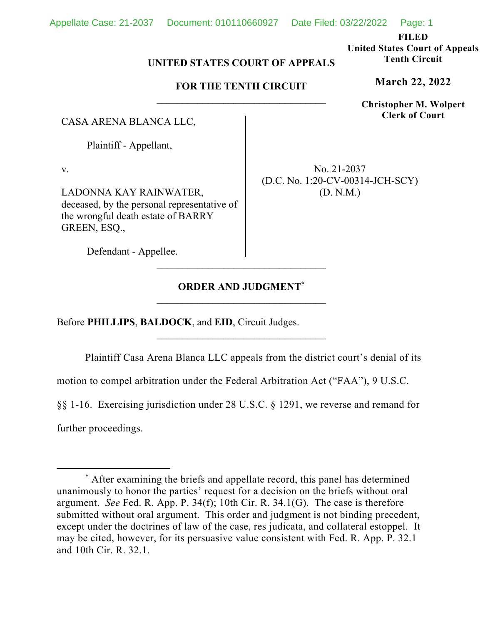**FILED** 

**United States Court of Appeals Tenth Circuit** 

**March 22, 2022**

**Christopher M. Wolpert Clerk of Court**

# **UNITED STATES COURT OF APPEALS**

# **FOR THE TENTH CIRCUIT**

CASA ARENA BLANCA LLC,

Plaintiff - Appellant,

v.

LADONNA KAY RAINWATER, deceased, by the personal representative of the wrongful death estate of BARRY GREEN, ESQ.,

No. 21-2037 (D.C. No. 1:20-CV-00314-JCH-SCY) (D. N.M.)

Defendant - Appellee.

# **ORDER AND JUDGMENT\***

Before **PHILLIPS**, **BALDOCK**, and **EID**, Circuit Judges.

Plaintiff Casa Arena Blanca LLC appeals from the district court's denial of its

motion to compel arbitration under the Federal Arbitration Act ("FAA"), 9 U.S.C.

§§ 1-16. Exercising jurisdiction under 28 U.S.C. § 1291, we reverse and remand for further proceedings.

<sup>\*</sup> After examining the briefs and appellate record, this panel has determined unanimously to honor the parties' request for a decision on the briefs without oral argument. *See* Fed. R. App. P. 34(f); 10th Cir. R. 34.1(G). The case is therefore submitted without oral argument. This order and judgment is not binding precedent, except under the doctrines of law of the case, res judicata, and collateral estoppel. It may be cited, however, for its persuasive value consistent with Fed. R. App. P. 32.1 and 10th Cir. R. 32.1.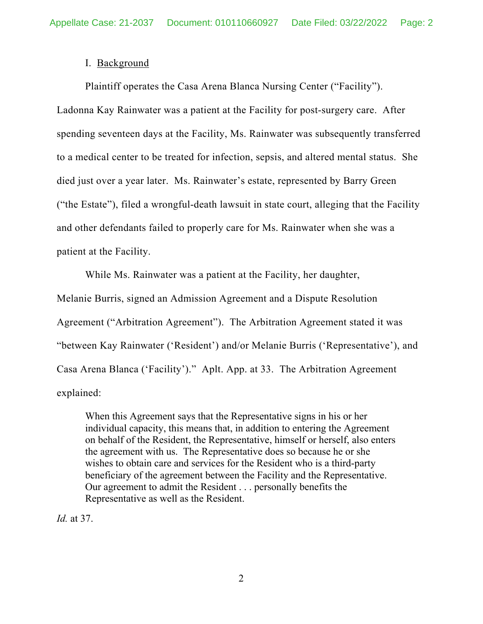## I. Background

Plaintiff operates the Casa Arena Blanca Nursing Center ("Facility"). Ladonna Kay Rainwater was a patient at the Facility for post-surgery care. After spending seventeen days at the Facility, Ms. Rainwater was subsequently transferred to a medical center to be treated for infection, sepsis, and altered mental status. She died just over a year later. Ms. Rainwater's estate, represented by Barry Green ("the Estate"), filed a wrongful-death lawsuit in state court, alleging that the Facility and other defendants failed to properly care for Ms. Rainwater when she was a patient at the Facility.

While Ms. Rainwater was a patient at the Facility, her daughter,

Melanie Burris, signed an Admission Agreement and a Dispute Resolution Agreement ("Arbitration Agreement"). The Arbitration Agreement stated it was "between Kay Rainwater ('Resident') and/or Melanie Burris ('Representative'), and Casa Arena Blanca ('Facility')." Aplt. App. at 33. The Arbitration Agreement explained:

When this Agreement says that the Representative signs in his or her individual capacity, this means that, in addition to entering the Agreement on behalf of the Resident, the Representative, himself or herself, also enters the agreement with us. The Representative does so because he or she wishes to obtain care and services for the Resident who is a third-party beneficiary of the agreement between the Facility and the Representative. Our agreement to admit the Resident . . . personally benefits the Representative as well as the Resident.

*Id.* at 37.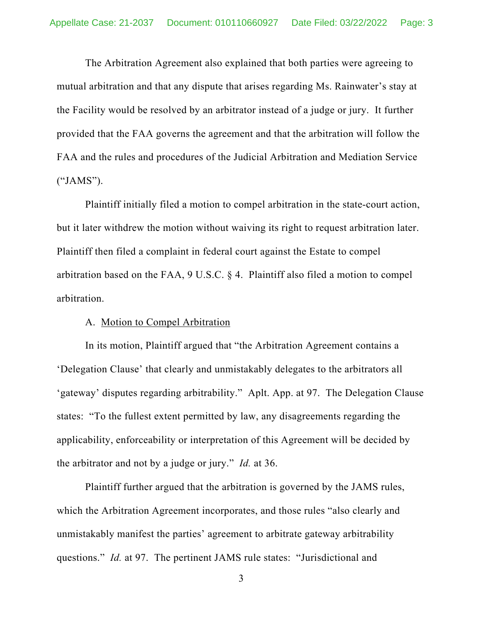The Arbitration Agreement also explained that both parties were agreeing to mutual arbitration and that any dispute that arises regarding Ms. Rainwater's stay at the Facility would be resolved by an arbitrator instead of a judge or jury. It further provided that the FAA governs the agreement and that the arbitration will follow the FAA and the rules and procedures of the Judicial Arbitration and Mediation Service ("JAMS").

Plaintiff initially filed a motion to compel arbitration in the state-court action, but it later withdrew the motion without waiving its right to request arbitration later. Plaintiff then filed a complaint in federal court against the Estate to compel arbitration based on the FAA, 9 U.S.C. § 4. Plaintiff also filed a motion to compel arbitration.

#### A. Motion to Compel Arbitration

In its motion, Plaintiff argued that "the Arbitration Agreement contains a 'Delegation Clause' that clearly and unmistakably delegates to the arbitrators all 'gateway' disputes regarding arbitrability." Aplt. App. at 97. The Delegation Clause states: "To the fullest extent permitted by law, any disagreements regarding the applicability, enforceability or interpretation of this Agreement will be decided by the arbitrator and not by a judge or jury." *Id.* at 36.

Plaintiff further argued that the arbitration is governed by the JAMS rules, which the Arbitration Agreement incorporates, and those rules "also clearly and unmistakably manifest the parties' agreement to arbitrate gateway arbitrability questions." *Id.* at 97. The pertinent JAMS rule states: "Jurisdictional and

<sup>3</sup>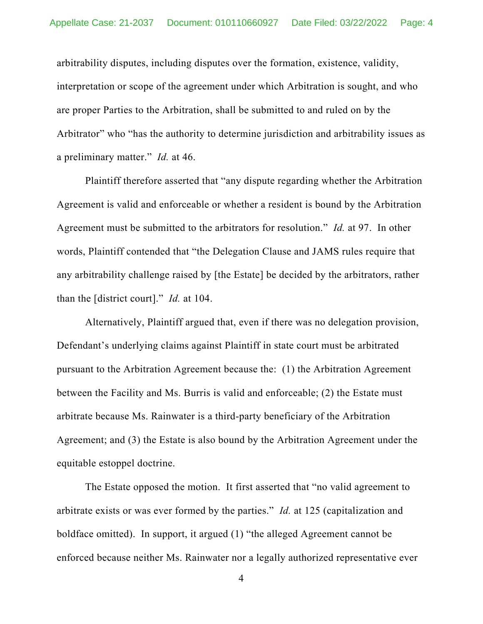arbitrability disputes, including disputes over the formation, existence, validity, interpretation or scope of the agreement under which Arbitration is sought, and who are proper Parties to the Arbitration, shall be submitted to and ruled on by the Arbitrator" who "has the authority to determine jurisdiction and arbitrability issues as a preliminary matter." *Id.* at 46.

Plaintiff therefore asserted that "any dispute regarding whether the Arbitration Agreement is valid and enforceable or whether a resident is bound by the Arbitration Agreement must be submitted to the arbitrators for resolution." *Id.* at 97. In other words, Plaintiff contended that "the Delegation Clause and JAMS rules require that any arbitrability challenge raised by [the Estate] be decided by the arbitrators, rather than the [district court]." *Id.* at 104.

Alternatively, Plaintiff argued that, even if there was no delegation provision, Defendant's underlying claims against Plaintiff in state court must be arbitrated pursuant to the Arbitration Agreement because the: (1) the Arbitration Agreement between the Facility and Ms. Burris is valid and enforceable; (2) the Estate must arbitrate because Ms. Rainwater is a third-party beneficiary of the Arbitration Agreement; and (3) the Estate is also bound by the Arbitration Agreement under the equitable estoppel doctrine.

The Estate opposed the motion. It first asserted that "no valid agreement to arbitrate exists or was ever formed by the parties." *Id.* at 125 (capitalization and boldface omitted). In support, it argued (1) "the alleged Agreement cannot be enforced because neither Ms. Rainwater nor a legally authorized representative ever

<sup>4</sup>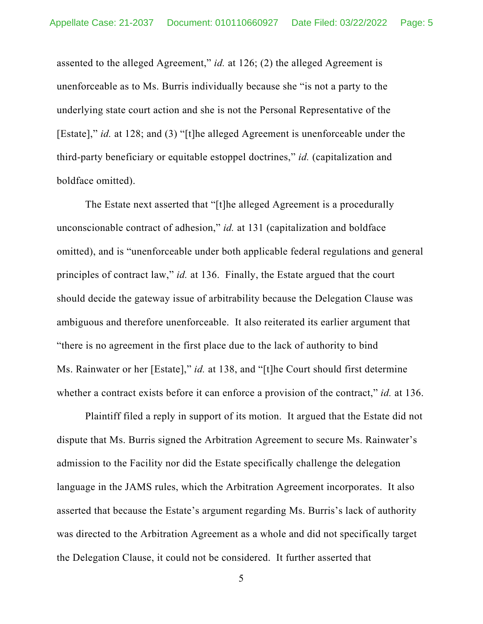assented to the alleged Agreement," *id.* at 126; (2) the alleged Agreement is unenforceable as to Ms. Burris individually because she "is not a party to the underlying state court action and she is not the Personal Representative of the [Estate]," *id.* at 128; and (3) "[t]he alleged Agreement is unenforceable under the third-party beneficiary or equitable estoppel doctrines," *id.* (capitalization and boldface omitted).

The Estate next asserted that "[t]he alleged Agreement is a procedurally unconscionable contract of adhesion," *id.* at 131 (capitalization and boldface omitted), and is "unenforceable under both applicable federal regulations and general principles of contract law," *id.* at 136. Finally, the Estate argued that the court should decide the gateway issue of arbitrability because the Delegation Clause was ambiguous and therefore unenforceable. It also reiterated its earlier argument that "there is no agreement in the first place due to the lack of authority to bind Ms. Rainwater or her [Estate]," *id.* at 138, and "[t]he Court should first determine whether a contract exists before it can enforce a provision of the contract," *id.* at 136.

Plaintiff filed a reply in support of its motion. It argued that the Estate did not dispute that Ms. Burris signed the Arbitration Agreement to secure Ms. Rainwater's admission to the Facility nor did the Estate specifically challenge the delegation language in the JAMS rules, which the Arbitration Agreement incorporates. It also asserted that because the Estate's argument regarding Ms. Burris's lack of authority was directed to the Arbitration Agreement as a whole and did not specifically target the Delegation Clause, it could not be considered. It further asserted that

5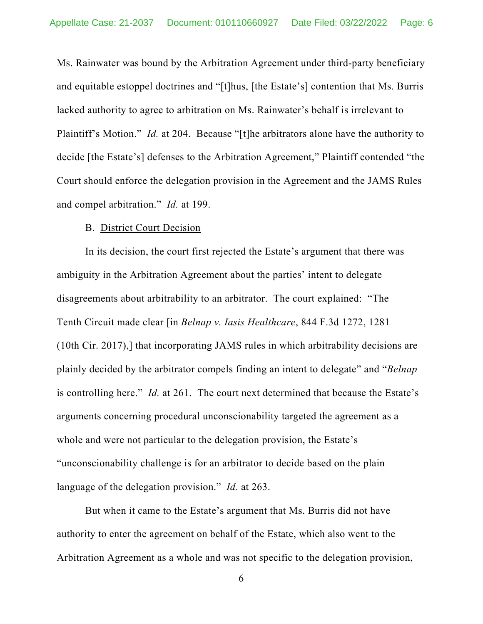Ms. Rainwater was bound by the Arbitration Agreement under third-party beneficiary and equitable estoppel doctrines and "[t]hus, [the Estate's] contention that Ms. Burris lacked authority to agree to arbitration on Ms. Rainwater's behalf is irrelevant to Plaintiff's Motion." *Id.* at 204. Because "[t]he arbitrators alone have the authority to decide [the Estate's] defenses to the Arbitration Agreement," Plaintiff contended "the Court should enforce the delegation provision in the Agreement and the JAMS Rules and compel arbitration." *Id.* at 199.

#### B. District Court Decision

In its decision, the court first rejected the Estate's argument that there was ambiguity in the Arbitration Agreement about the parties' intent to delegate disagreements about arbitrability to an arbitrator. The court explained: "The Tenth Circuit made clear [in *Belnap v. Iasis Healthcare*, 844 F.3d 1272, 1281 (10th Cir. 2017),] that incorporating JAMS rules in which arbitrability decisions are plainly decided by the arbitrator compels finding an intent to delegate" and "*Belnap* is controlling here." *Id.* at 261. The court next determined that because the Estate's arguments concerning procedural unconscionability targeted the agreement as a whole and were not particular to the delegation provision, the Estate's "unconscionability challenge is for an arbitrator to decide based on the plain language of the delegation provision." *Id.* at 263.

But when it came to the Estate's argument that Ms. Burris did not have authority to enter the agreement on behalf of the Estate, which also went to the Arbitration Agreement as a whole and was not specific to the delegation provision,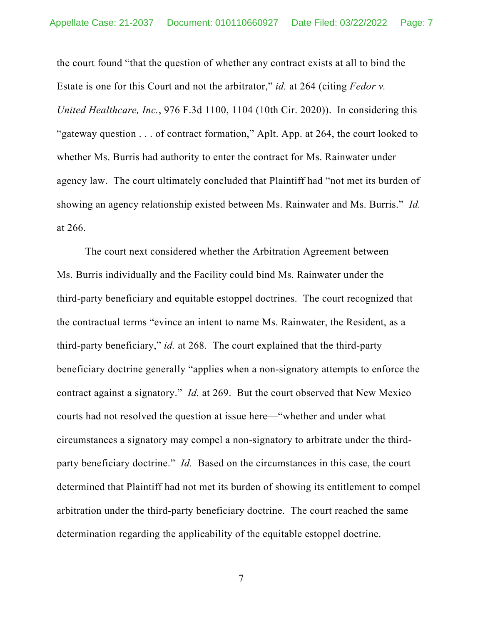the court found "that the question of whether any contract exists at all to bind the Estate is one for this Court and not the arbitrator," *id.* at 264 (citing *Fedor v. United Healthcare, Inc.*, 976 F.3d 1100, 1104 (10th Cir. 2020)). In considering this "gateway question . . . of contract formation," Aplt. App. at 264, the court looked to whether Ms. Burris had authority to enter the contract for Ms. Rainwater under agency law. The court ultimately concluded that Plaintiff had "not met its burden of showing an agency relationship existed between Ms. Rainwater and Ms. Burris." *Id.* at 266.

The court next considered whether the Arbitration Agreement between Ms. Burris individually and the Facility could bind Ms. Rainwater under the third-party beneficiary and equitable estoppel doctrines. The court recognized that the contractual terms "evince an intent to name Ms. Rainwater, the Resident, as a third-party beneficiary," *id.* at 268. The court explained that the third-party beneficiary doctrine generally "applies when a non-signatory attempts to enforce the contract against a signatory." *Id.* at 269. But the court observed that New Mexico courts had not resolved the question at issue here—"whether and under what circumstances a signatory may compel a non-signatory to arbitrate under the thirdparty beneficiary doctrine." *Id.* Based on the circumstances in this case, the court determined that Plaintiff had not met its burden of showing its entitlement to compel arbitration under the third-party beneficiary doctrine. The court reached the same determination regarding the applicability of the equitable estoppel doctrine.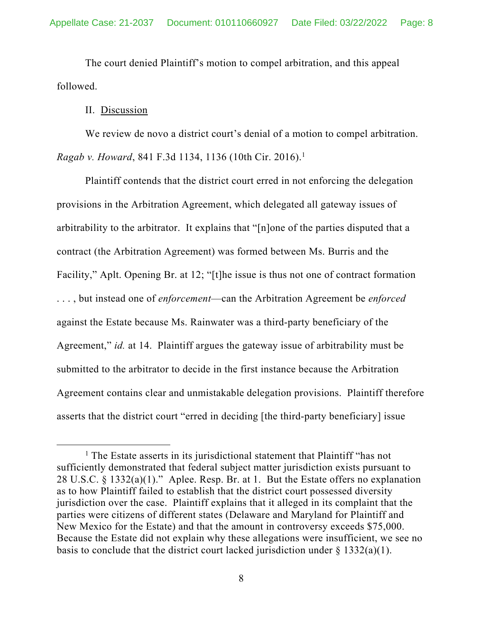The court denied Plaintiff's motion to compel arbitration, and this appeal followed.

### II. Discussion

We review de novo a district court's denial of a motion to compel arbitration. *Ragab v. Howard*, 841 F.3d 1134, 1136 (10th Cir. 2016).1

Plaintiff contends that the district court erred in not enforcing the delegation provisions in the Arbitration Agreement, which delegated all gateway issues of arbitrability to the arbitrator. It explains that "[n]one of the parties disputed that a contract (the Arbitration Agreement) was formed between Ms. Burris and the Facility," Aplt. Opening Br. at 12; "[t]he issue is thus not one of contract formation . . . , but instead one of *enforcement*—can the Arbitration Agreement be *enforced* against the Estate because Ms. Rainwater was a third-party beneficiary of the Agreement," *id.* at 14. Plaintiff argues the gateway issue of arbitrability must be submitted to the arbitrator to decide in the first instance because the Arbitration Agreement contains clear and unmistakable delegation provisions. Plaintiff therefore asserts that the district court "erred in deciding [the third-party beneficiary] issue

<sup>&</sup>lt;sup>1</sup> The Estate asserts in its jurisdictional statement that Plaintiff "has not sufficiently demonstrated that federal subject matter jurisdiction exists pursuant to 28 U.S.C. § 1332(a)(1)." Aplee. Resp. Br. at 1. But the Estate offers no explanation as to how Plaintiff failed to establish that the district court possessed diversity jurisdiction over the case. Plaintiff explains that it alleged in its complaint that the parties were citizens of different states (Delaware and Maryland for Plaintiff and New Mexico for the Estate) and that the amount in controversy exceeds \$75,000. Because the Estate did not explain why these allegations were insufficient, we see no basis to conclude that the district court lacked jurisdiction under  $\S 1332(a)(1)$ .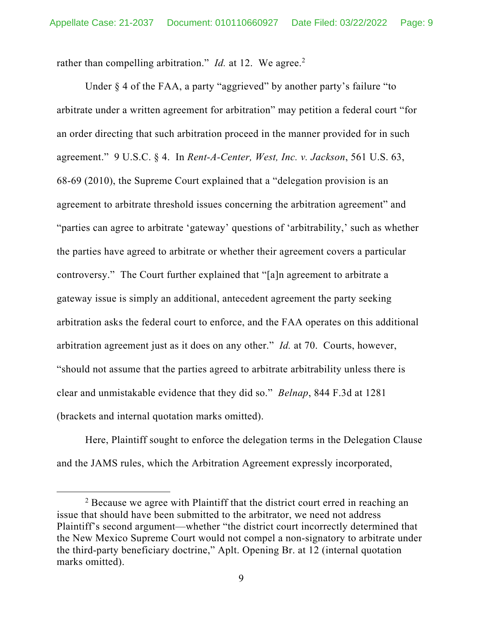rather than compelling arbitration." *Id.* at 12. We agree.<sup>2</sup>

Under § 4 of the FAA, a party "aggrieved" by another party's failure "to arbitrate under a written agreement for arbitration" may petition a federal court "for an order directing that such arbitration proceed in the manner provided for in such agreement." 9 U.S.C. § 4. In *Rent-A-Center, West, Inc. v. Jackson*, 561 U.S. 63, 68-69 (2010), the Supreme Court explained that a "delegation provision is an agreement to arbitrate threshold issues concerning the arbitration agreement" and "parties can agree to arbitrate 'gateway' questions of 'arbitrability,' such as whether the parties have agreed to arbitrate or whether their agreement covers a particular controversy." The Court further explained that "[a]n agreement to arbitrate a gateway issue is simply an additional, antecedent agreement the party seeking arbitration asks the federal court to enforce, and the FAA operates on this additional arbitration agreement just as it does on any other." *Id.* at 70. Courts, however, "should not assume that the parties agreed to arbitrate arbitrability unless there is clear and unmistakable evidence that they did so." *Belnap*, 844 F.3d at 1281 (brackets and internal quotation marks omitted).

Here, Plaintiff sought to enforce the delegation terms in the Delegation Clause and the JAMS rules, which the Arbitration Agreement expressly incorporated,

<sup>&</sup>lt;sup>2</sup> Because we agree with Plaintiff that the district court erred in reaching an issue that should have been submitted to the arbitrator, we need not address Plaintiff's second argument—whether "the district court incorrectly determined that the New Mexico Supreme Court would not compel a non-signatory to arbitrate under the third-party beneficiary doctrine," Aplt. Opening Br. at 12 (internal quotation marks omitted).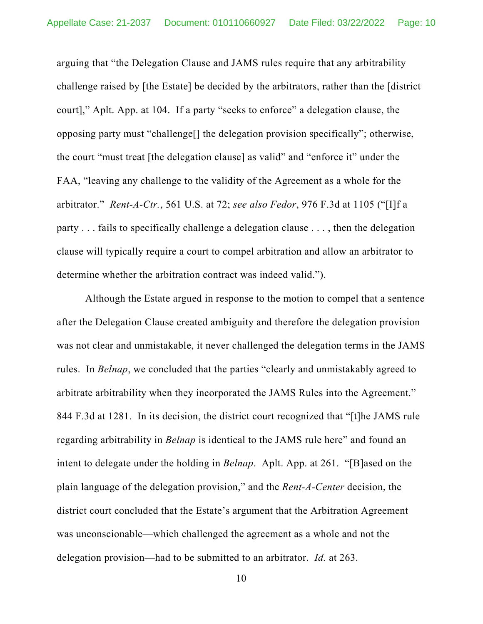arguing that "the Delegation Clause and JAMS rules require that any arbitrability challenge raised by [the Estate] be decided by the arbitrators, rather than the [district court]," Aplt. App. at 104. If a party "seeks to enforce" a delegation clause, the opposing party must "challenge[] the delegation provision specifically"; otherwise, the court "must treat [the delegation clause] as valid" and "enforce it" under the FAA, "leaving any challenge to the validity of the Agreement as a whole for the arbitrator." *Rent-A-Ctr.*, 561 U.S. at 72; *see also Fedor*, 976 F.3d at 1105 ("[I]f a party . . . fails to specifically challenge a delegation clause . . . , then the delegation clause will typically require a court to compel arbitration and allow an arbitrator to determine whether the arbitration contract was indeed valid.").

Although the Estate argued in response to the motion to compel that a sentence after the Delegation Clause created ambiguity and therefore the delegation provision was not clear and unmistakable, it never challenged the delegation terms in the JAMS rules. In *Belnap*, we concluded that the parties "clearly and unmistakably agreed to arbitrate arbitrability when they incorporated the JAMS Rules into the Agreement." 844 F.3d at 1281. In its decision, the district court recognized that "[t]he JAMS rule regarding arbitrability in *Belnap* is identical to the JAMS rule here" and found an intent to delegate under the holding in *Belnap*. Aplt. App. at 261. "[B]ased on the plain language of the delegation provision," and the *Rent-A-Center* decision, the district court concluded that the Estate's argument that the Arbitration Agreement was unconscionable—which challenged the agreement as a whole and not the delegation provision—had to be submitted to an arbitrator. *Id.* at 263.

10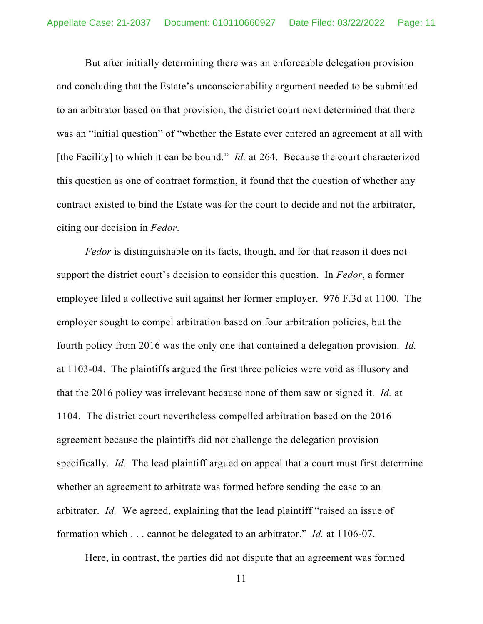But after initially determining there was an enforceable delegation provision and concluding that the Estate's unconscionability argument needed to be submitted to an arbitrator based on that provision, the district court next determined that there was an "initial question" of "whether the Estate ever entered an agreement at all with [the Facility] to which it can be bound." *Id.* at 264. Because the court characterized this question as one of contract formation, it found that the question of whether any contract existed to bind the Estate was for the court to decide and not the arbitrator, citing our decision in *Fedor*.

*Fedor* is distinguishable on its facts, though, and for that reason it does not support the district court's decision to consider this question. In *Fedor*, a former employee filed a collective suit against her former employer. 976 F.3d at 1100. The employer sought to compel arbitration based on four arbitration policies, but the fourth policy from 2016 was the only one that contained a delegation provision. *Id.* at 1103-04. The plaintiffs argued the first three policies were void as illusory and that the 2016 policy was irrelevant because none of them saw or signed it. *Id.* at 1104. The district court nevertheless compelled arbitration based on the 2016 agreement because the plaintiffs did not challenge the delegation provision specifically. *Id.* The lead plaintiff argued on appeal that a court must first determine whether an agreement to arbitrate was formed before sending the case to an arbitrator. *Id.* We agreed, explaining that the lead plaintiff "raised an issue of formation which . . . cannot be delegated to an arbitrator." *Id.* at 1106-07.

Here, in contrast, the parties did not dispute that an agreement was formed

11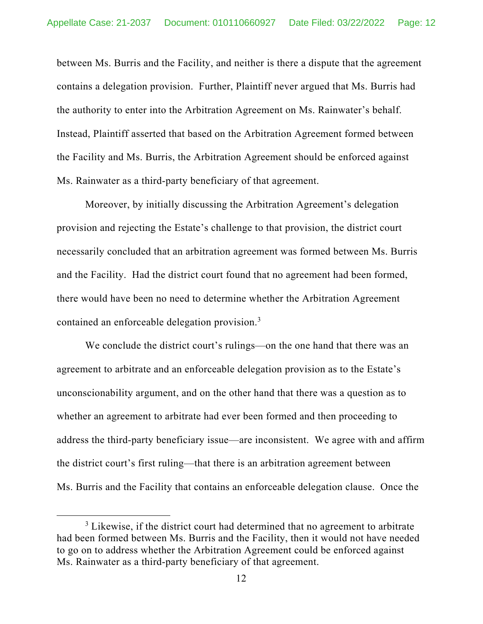between Ms. Burris and the Facility, and neither is there a dispute that the agreement contains a delegation provision. Further, Plaintiff never argued that Ms. Burris had the authority to enter into the Arbitration Agreement on Ms. Rainwater's behalf. Instead, Plaintiff asserted that based on the Arbitration Agreement formed between the Facility and Ms. Burris, the Arbitration Agreement should be enforced against Ms. Rainwater as a third-party beneficiary of that agreement.

Moreover, by initially discussing the Arbitration Agreement's delegation provision and rejecting the Estate's challenge to that provision, the district court necessarily concluded that an arbitration agreement was formed between Ms. Burris and the Facility. Had the district court found that no agreement had been formed, there would have been no need to determine whether the Arbitration Agreement contained an enforceable delegation provision.<sup>3</sup>

We conclude the district court's rulings—on the one hand that there was an agreement to arbitrate and an enforceable delegation provision as to the Estate's unconscionability argument, and on the other hand that there was a question as to whether an agreement to arbitrate had ever been formed and then proceeding to address the third-party beneficiary issue—are inconsistent. We agree with and affirm the district court's first ruling—that there is an arbitration agreement between Ms. Burris and the Facility that contains an enforceable delegation clause. Once the

 $3$  Likewise, if the district court had determined that no agreement to arbitrate had been formed between Ms. Burris and the Facility, then it would not have needed to go on to address whether the Arbitration Agreement could be enforced against Ms. Rainwater as a third-party beneficiary of that agreement.